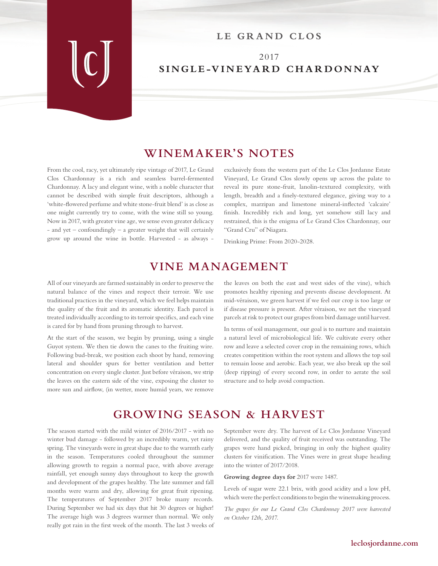#### LE GRAND CLOS

#### 2017 **SINGLE-VINEYARD CHARDONNAY**

### **WINEMAKER'S NOTES**

From the cool, racy, yet ultimately ripe vintage of 2017, Le Grand Clos Chardonnay is a rich and seamless barrel-fermented Chardonnay. A lacy and elegant wine, with a noble character that cannot be described with simple fruit descriptors, although a 'white-flowered perfume and white stone-fruit blend' is as close as one might currently try to come, with the wine still so young. Now in 2017, with greater vine age, we sense even greater delicacy - and yet – confoundingly – a greater weight that will certainly grow up around the wine in bottle. Harvested - as always -

exclusively from the western part of the Le Clos Jordanne Estate Vineyard, Le Grand Clos slowly opens up across the palate to reveal its pure stone-fruit, lanolin-textured complexity, with length, breadth and a finely-textured elegance, giving way to a complex, marzipan and limestone mineral-inflected 'calcaire' finish. Incredibly rich and long, yet somehow still lacy and restrained, this is the enigma of Le Grand Clos Chardonnay, our "Grand Cru" of Niagara.

Drinking Prime: From 2020-2028.

#### **VINE MANAGEMENT**

All of our vineyards are farmed sustainably in order to preserve the natural balance of the vines and respect their terroir. We use traditional practices in the vineyard, which we feel helps maintain the quality of the fruit and its aromatic identity. Each parcel is treated individually according to its terroir specifics, and each vine is cared for by hand from pruning through to harvest.

At the start of the season, we begin by pruning, using a single Guyot system. We then tie down the canes to the fruiting wire. Following bud-break, we position each shoot by hand, removing lateral and shoulder spurs for better ventilation and better concentration on every single cluster. Just before véraison, we strip the leaves on the eastern side of the vine, exposing the cluster to more sun and airflow, (in wetter, more humid years, we remove

the leaves on both the east and west sides of the vine), which promotes healthy ripening and prevents disease development. At mid-véraison, we green harvest if we feel our crop is too large or if disease pressure is present. After véraison, we net the vineyard parcels at risk to protect our grapes from bird damage until harvest.

In terms of soil management, our goal is to nurture and maintain a natural level of microbiological life. We cultivate every other row and leave a selected cover crop in the remaining rows, which creates competition within the root system and allows the top soil to remain loose and aerobic. Each year, we also break up the soil (deep ripping) of every second row, in order to aerate the soil structure and to help avoid compaction.

# **GROWING SEASON & HARVEST**

The season started with the mild winter of 2016/2017 - with no winter bud damage - followed by an incredibly warm, yet rainy spring. The vineyards were in great shape due to the warmth early in the season. Temperatures cooled throughout the summer allowing growth to regain a normal pace, with above average rainfall, yet enough sunny days throughout to keep the growth and development of the grapes healthy. The late summer and fall months were warm and dry, allowing for great fruit ripening. The temperatures of September 2017 broke many records. During September we had six days that hit 30 degrees or higher! The average high was 3 degrees warmer than normal. We only really got rain in the first week of the month. The last 3 weeks of September were dry. The harvest of Le Clos Jordanne Vineyard delivered, and the quality of fruit received was outstanding. The grapes were hand picked, bringing in only the highest quality clusters for vinification. The Vines were in great shape heading into the winter of 2017/2018.

**Growing degree days for** 2017 were 1487.

Levels of sugar were 22.1 brix, with good acidity and a low pH, which were the perfect conditions to begin the winemaking process.

*The grapes for our Le Grand Clos Chardonnay 2017 were harvested on October 12th, 2017.*